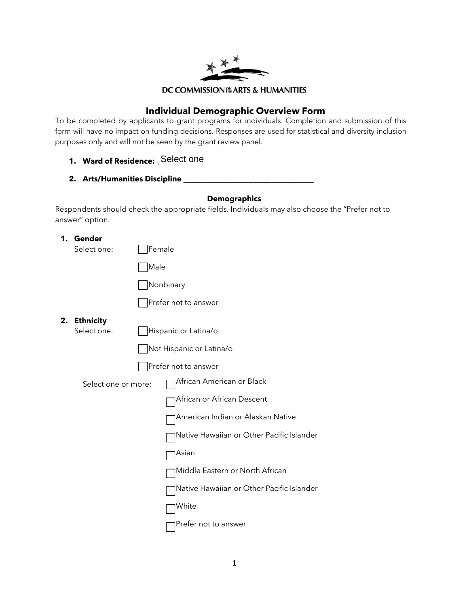

## **Individual Demographic Overview Form**

To be completed by applicants to grant programs for individuals. Completion and submission of this form will have no impact on funding decisions. Responses are used for statistical and diversity inclusion purposes only and will not be seen by the grant review panel.

- **1. Ward of Residence: \_\_\_\_\_\_\_\_\_\_\_\_\_\_\_\_** Select one
- **2. Arts/Humanities Discipline \_\_\_\_\_\_\_\_\_\_\_\_\_\_\_\_\_\_\_\_\_\_\_\_\_\_\_\_\_\_\_\_\_\_**

## **Demographics**

Respondents should check the appropriate fields. Individuals may also choose the "Prefer not to answer" option.

**1. Gender**

Select one: Female

Male

| Nonbinary |
|-----------|
|           |
|           |

Prefer not to answer

**2. Ethnicity**

Select one: **Hispanic or Latina/o** 

Not Hispanic or Latina/o

Prefer not to answer

Select one or more: <br>  $\Box$  African American or Black



African or African Descent

American Indian or Alaskan Native

Native Hawaiian or Other Pacific Islander

Asian

Middle Eastern or North African

Native Hawaiian or Other Pacific Islander

**Nhite** 

**□Prefer not to answer**